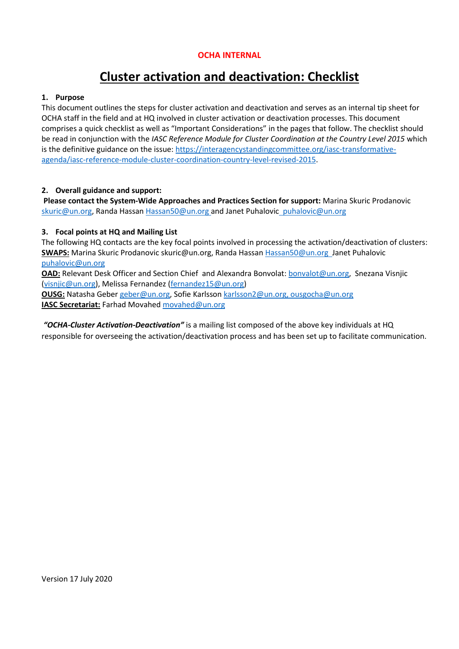### **OCHA INTERNAL**

# **Cluster activation and deactivation: Checklist**

### **1. Purpose**

This document outlines the steps for cluster activation and deactivation and serves as an internal tip sheet for OCHA staff in the field and at HQ involved in cluster activation or deactivation processes. This document comprises a quick checklist as well as "Important Considerations" in the pages that follow. The checklist should be read in conjunction with the *IASC Reference Module for Cluster Coordination at the Country Level 2015* which is the definitive guidance on the issue[: https://interagencystandingcommittee.org/iasc-transformative](https://interagencystandingcommittee.org/iasc-transformative-agenda/iasc-reference-module-cluster-coordination-country-level-revised-2015)[agenda/iasc-reference-module-cluster-coordination-country-level-revised-2015.](https://interagencystandingcommittee.org/iasc-transformative-agenda/iasc-reference-module-cluster-coordination-country-level-revised-2015)

#### **2. Overall guidance and support:**

**Please contact the System-Wide Approaches and Practices Section for support:** Marina Skuric Prodanovic [skuric@un.org,](mailto:skuric@un.org) Randa Hassan [Hassan50@un.org](mailto:Hassan50@un.org) and Janet Puhalovic puhalovic@un.org

#### **3. Focal points at HQ and Mailing List**

The following HQ contacts are the key focal points involved in processing the activation/deactivation of clusters: **SWAPS:** Marina Skuric Prodanovic [skuric@un.org,](mailto:skuric@un.org) Randa Hassan [Hassan50@un.org](mailto:Hassan50@un.org) Janet Puhalovic [puhalovic@un.org](mailto:puhalovic@un.org)

**OAD:** Relevant Desk Officer and Section Chief and Alexandra Bonvolat: **bonvalot@un.org**, Snezana Visnjic [\(visnjic@un.org\)](mailto:visnjic@un.org), Melissa Fernandez [\(fernandez15@un.org\)](mailto:fernandez15@un.org)

**OUSG:** Natasha Gebe[r geber@un.org,](mailto:geber@un.org) Sofie Karlsson [karlsson2@un.org,](mailto:karlsson2@un.org) [ousgocha@un.org](mailto:ousgocha@un.org) **IASC Secretariat:** Farhad Movahed [movahed@un.org](mailto:movahed@un.org)

*"OCHA-Cluster Activation-Deactivation"* is a mailing list composed of the above key individuals at HQ responsible for overseeing the activation/deactivation process and has been set up to facilitate communication.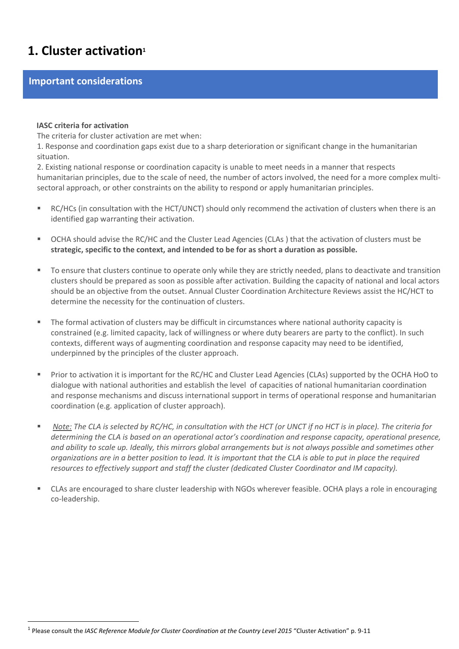# **1. Cluster activation<sup>1</sup>**

### **Important considerations**

#### **IASC criteria for activation**

The criteria for cluster activation are met when:

1. Response and coordination gaps exist due to a sharp deterioration or significant change in the humanitarian situation.

2. Existing national response or coordination capacity is unable to meet needs in a manner that respects humanitarian principles, due to the scale of need, the number of actors involved, the need for a more complex multisectoral approach, or other constraints on the ability to respond or apply humanitarian principles.

- RC/HCs (in consultation with the HCT/UNCT) should only recommend the activation of clusters when there is an identified gap warranting their activation.
- OCHA should advise the RC/HC and the Cluster Lead Agencies (CLAs) that the activation of clusters must be **strategic, specific to the context, and intended to be for as short a duration as possible.**
- To ensure that clusters continue to operate only while they are strictly needed, plans to deactivate and transition clusters should be prepared as soon as possible after activation. Building the capacity of national and local actors should be an objective from the outset. Annual Cluster Coordination Architecture Reviews assist the HC/HCT to determine the necessity for the continuation of clusters.
- The formal activation of clusters may be difficult in circumstances where national authority capacity is constrained (e.g. limited capacity, lack of willingness or where duty bearers are party to the conflict). In such contexts, different ways of augmenting coordination and response capacity may need to be identified, underpinned by the principles of the cluster approach.
- Prior to activation it is important for the RC/HC and Cluster Lead Agencies (CLAs) supported by the OCHA HoO to dialogue with national authorities and establish the level of capacities of national humanitarian coordination and response mechanisms and discuss international support in terms of operational response and humanitarian coordination (e.g. application of cluster approach).
- *Note:* The CLA is selected by RC/HC, in consultation with the HCT (or UNCT if no HCT is in place). The criteria for *determining the CLA is based on an operational actor's coordination and response capacity, operational presence, and ability to scale up. Ideally, this mirrors global arrangements but is not always possible and sometimes other organizations are in a better position to lead. It is important that the CLA is able to put in place the required resources to effectively support and staff the cluster (dedicated Cluster Coordinator and IM capacity).*
- CLAs are encouraged to share cluster leadership with NGOs wherever feasible. OCHA plays a role in encouraging co-leadership.

<sup>1</sup> Please consult the *IASC Reference Module for Cluster Coordination at the Country Level 2015* "Cluster Activation" p. 9-11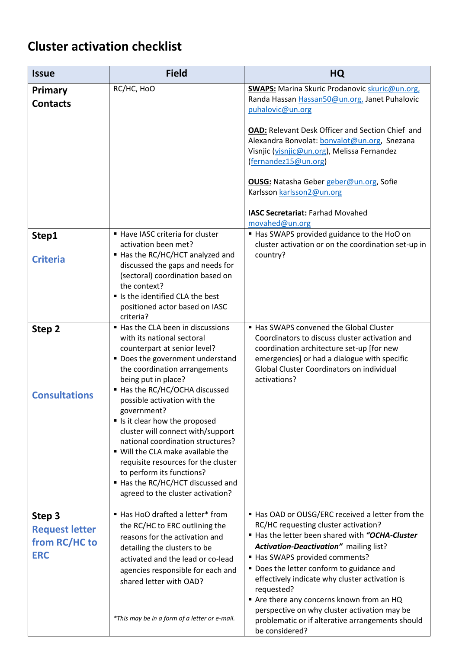# **Cluster activation checklist**

| <b>Issue</b>                                                   | <b>Field</b>                                                                                                                                                                                                                                                                                                                                                                                                                                                                                                                                                              | <b>HQ</b>                                                                                                                                                                                                                                                                                                                                                                                                                 |
|----------------------------------------------------------------|---------------------------------------------------------------------------------------------------------------------------------------------------------------------------------------------------------------------------------------------------------------------------------------------------------------------------------------------------------------------------------------------------------------------------------------------------------------------------------------------------------------------------------------------------------------------------|---------------------------------------------------------------------------------------------------------------------------------------------------------------------------------------------------------------------------------------------------------------------------------------------------------------------------------------------------------------------------------------------------------------------------|
| <b>Primary</b><br><b>Contacts</b>                              | RC/HC, HoO                                                                                                                                                                                                                                                                                                                                                                                                                                                                                                                                                                | <b>SWAPS:</b> Marina Skuric Prodanovic skuric@un.org,<br>Randa Hassan Hassan50@un.org, Janet Puhalovic<br>puhalovic@un.org<br><b>OAD:</b> Relevant Desk Officer and Section Chief and<br>Alexandra Bonvolat: bonvalot@un.org, Snezana<br>Visnjic (visnjic@un.org), Melissa Fernandez<br>(fernandez15@un.org)<br>OUSG: Natasha Geber geber@un.org, Sofie<br>Karlsson karlsson2@un.org                                      |
|                                                                |                                                                                                                                                                                                                                                                                                                                                                                                                                                                                                                                                                           | <b>IASC Secretariat:</b> Farhad Movahed<br>movahed@un.org                                                                                                                                                                                                                                                                                                                                                                 |
| Step1<br><b>Criteria</b>                                       | ■ Have IASC criteria for cluster<br>activation been met?<br>■ Has the RC/HC/HCT analyzed and<br>discussed the gaps and needs for<br>(sectoral) coordination based on<br>the context?<br>If Is the identified CLA the best<br>positioned actor based on IASC<br>criteria?                                                                                                                                                                                                                                                                                                  | Has SWAPS provided guidance to the HoO on<br>cluster activation or on the coordination set-up in<br>country?                                                                                                                                                                                                                                                                                                              |
| Step 2<br><b>Consultations</b>                                 | ■ Has the CLA been in discussions<br>with its national sectoral<br>counterpart at senior level?<br>" Does the government understand<br>the coordination arrangements<br>being put in place?<br>■ Has the RC/HC/OCHA discussed<br>possible activation with the<br>government?<br>Is it clear how the proposed<br>cluster will connect with/support<br>national coordination structures?<br>■ Will the CLA make available the<br>requisite resources for the cluster<br>to perform its functions?<br>■ Has the RC/HC/HCT discussed and<br>agreed to the cluster activation? | ■ Has SWAPS convened the Global Cluster<br>Coordinators to discuss cluster activation and<br>coordination architecture set-up [for new<br>emergencies] or had a dialogue with specific<br>Global Cluster Coordinators on individual<br>activations?                                                                                                                                                                       |
| Step 3<br><b>Request letter</b><br>from RC/HC to<br><b>ERC</b> | ■ Has HoO drafted a letter* from<br>the RC/HC to ERC outlining the<br>reasons for the activation and<br>detailing the clusters to be<br>activated and the lead or co-lead<br>agencies responsible for each and<br>shared letter with OAD?                                                                                                                                                                                                                                                                                                                                 | ■ Has OAD or OUSG/ERC received a letter from the<br>RC/HC requesting cluster activation?<br>Has the letter been shared with "OCHA-Cluster<br>Activation-Deactivation" mailing list?<br>Has SWAPS provided comments?<br>Does the letter conform to guidance and<br>effectively indicate why cluster activation is<br>requested?<br>Are there any concerns known from an HQ<br>perspective on why cluster activation may be |
|                                                                | *This may be in a form of a letter or e-mail.                                                                                                                                                                                                                                                                                                                                                                                                                                                                                                                             | problematic or if alterative arrangements should<br>be considered?                                                                                                                                                                                                                                                                                                                                                        |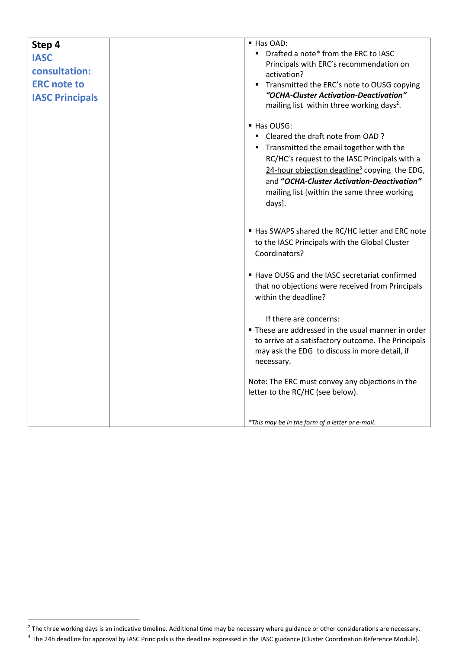|                        | $\blacksquare$ Has OAD:                                                                                                                                                                                                                                                                                       |
|------------------------|---------------------------------------------------------------------------------------------------------------------------------------------------------------------------------------------------------------------------------------------------------------------------------------------------------------|
| Step 4                 | Drafted a note* from the ERC to IASC                                                                                                                                                                                                                                                                          |
| <b>IASC</b>            | Principals with ERC's recommendation on                                                                                                                                                                                                                                                                       |
| consultation:          | activation?                                                                                                                                                                                                                                                                                                   |
| <b>ERC</b> note to     | Transmitted the ERC's note to OUSG copying<br>٠                                                                                                                                                                                                                                                               |
| <b>IASC Principals</b> | "OCHA-Cluster Activation-Deactivation"                                                                                                                                                                                                                                                                        |
|                        | mailing list within three working days <sup>2</sup> .                                                                                                                                                                                                                                                         |
|                        | Has OUSG:<br>Cleared the draft note from OAD ?<br>Transmitted the email together with the<br>RC/HC's request to the IASC Principals with a<br>24-hour objection deadline <sup>3</sup> copying the EDG,<br>and "OCHA-Cluster Activation-Deactivation"<br>mailing list [within the same three working<br>days]. |
|                        | Has SWAPS shared the RC/HC letter and ERC note<br>to the IASC Principals with the Global Cluster<br>Coordinators?                                                                                                                                                                                             |
|                        | ■ Have OUSG and the IASC secretariat confirmed<br>that no objections were received from Principals<br>within the deadline?                                                                                                                                                                                    |
|                        | If there are concerns:<br>" These are addressed in the usual manner in order<br>to arrive at a satisfactory outcome. The Principals<br>may ask the EDG to discuss in more detail, if<br>necessary.                                                                                                            |
|                        | Note: The ERC must convey any objections in the<br>letter to the RC/HC (see below).                                                                                                                                                                                                                           |
|                        | *This may be in the form of a letter or e-mail.                                                                                                                                                                                                                                                               |

 $^2$  The three working days is an indicative timeline. Additional time may be necessary where guidance or other considerations are necessary.

 $3$  The 24h deadline for approval by IASC Principals is the deadline expressed in the IASC guidance (Cluster Coordination Reference Module).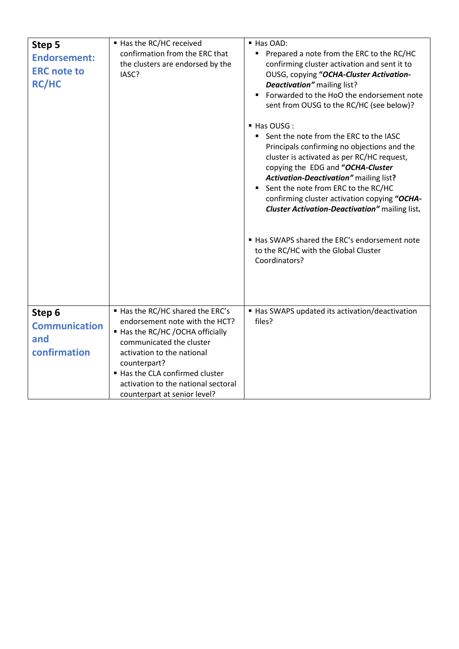| Step 5<br><b>Endorsement:</b><br><b>ERC</b> note to<br><b>RC/HC</b> | ■ Has the RC/HC received<br>confirmation from the ERC that<br>the clusters are endorsed by the<br>IASC?                                                                                                                                                                                 | Has OAD:<br>Prepared a note from the ERC to the RC/HC<br>٠<br>confirming cluster activation and sent it to<br>OUSG, copying "OCHA-Cluster Activation-<br>Deactivation" mailing list?<br>Forwarded to the HoO the endorsement note<br>sent from OUSG to the RC/HC (see below)?<br>Has OUSG:<br>Sent the note from the ERC to the IASC<br>Principals confirming no objections and the<br>cluster is activated as per RC/HC request,<br>copying the EDG and "OCHA-Cluster<br>Activation-Deactivation" mailing list?<br>Sent the note from ERC to the RC/HC<br>п<br>confirming cluster activation copying "OCHA-<br>Cluster Activation-Deactivation" mailing list.<br>■ Has SWAPS shared the ERC's endorsement note<br>to the RC/HC with the Global Cluster<br>Coordinators? |
|---------------------------------------------------------------------|-----------------------------------------------------------------------------------------------------------------------------------------------------------------------------------------------------------------------------------------------------------------------------------------|--------------------------------------------------------------------------------------------------------------------------------------------------------------------------------------------------------------------------------------------------------------------------------------------------------------------------------------------------------------------------------------------------------------------------------------------------------------------------------------------------------------------------------------------------------------------------------------------------------------------------------------------------------------------------------------------------------------------------------------------------------------------------|
| Step 6<br><b>Communication</b><br>and<br>confirmation               | Has the RC/HC shared the ERC's<br>endorsement note with the HCT?<br>■ Has the RC/HC / OCHA officially<br>communicated the cluster<br>activation to the national<br>counterpart?<br>Has the CLA confirmed cluster<br>activation to the national sectoral<br>counterpart at senior level? | ■ Has SWAPS updated its activation/deactivation<br>files?                                                                                                                                                                                                                                                                                                                                                                                                                                                                                                                                                                                                                                                                                                                |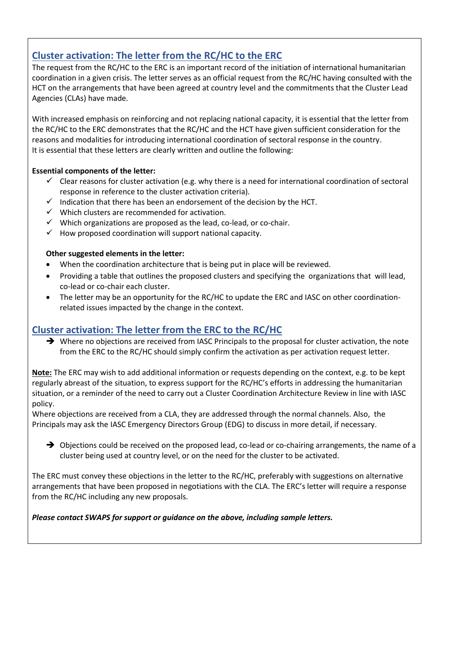### **Cluster activation: The letter from the RC/HC to the ERC**

The request from the RC/HC to the ERC is an important record of the initiation of international humanitarian coordination in a given crisis. The letter serves as an official request from the RC/HC having consulted with the HCT on the arrangements that have been agreed at country level and the commitments that the Cluster Lead Agencies (CLAs) have made.

With increased emphasis on reinforcing and not replacing national capacity, it is essential that the letter from the RC/HC to the ERC demonstrates that the RC/HC and the HCT have given sufficient consideration for the reasons and modalities for introducing international coordination of sectoral response in the country. It is essential that these letters are clearly written and outline the following:

### **Essential components of the letter:**

- $\checkmark$  Clear reasons for cluster activation (e.g. why there is a need for international coordination of sectoral response in reference to the cluster activation criteria).
- $\checkmark$  Indication that there has been an endorsement of the decision by the HCT.
- $\checkmark$  Which clusters are recommended for activation.
- $\checkmark$  Which organizations are proposed as the lead, co-lead, or co-chair.
- $\checkmark$  How proposed coordination will support national capacity.

### **Other suggested elements in the letter:**

- When the coordination architecture that is being put in place will be reviewed.
- Providing a table that outlines the proposed clusters and specifying the organizations that will lead, co-lead or co-chair each cluster.
- The letter may be an opportunity for the RC/HC to update the ERC and IASC on other coordinationrelated issues impacted by the change in the context.

### **Cluster activation: The letter from the ERC to the RC/HC**

➔ Where no objections are received from IASC Principals to the proposal for cluster activation, the note from the ERC to the RC/HC should simply confirm the activation as per activation request letter.

**Note:** The ERC may wish to add additional information or requests depending on the context, e.g. to be kept regularly abreast of the situation, to express support for the RC/HC's efforts in addressing the humanitarian situation, or a reminder of the need to carry out a Cluster Coordination Architecture Review in line with IASC policy.

Where objections are received from a CLA, they are addressed through the normal channels. Also, the Principals may ask the IASC Emergency Directors Group (EDG) to discuss in more detail, if necessary.

→ Objections could be received on the proposed lead, co-lead or co-chairing arrangements, the name of a cluster being used at country level, or on the need for the cluster to be activated.

The ERC must convey these objections in the letter to the RC/HC, preferably with suggestions on alternative arrangements that have been proposed in negotiations with the CLA. The ERC's letter will require a response from the RC/HC including any new proposals.

*Please contact SWAPS for support or guidance on the above, including sample letters.*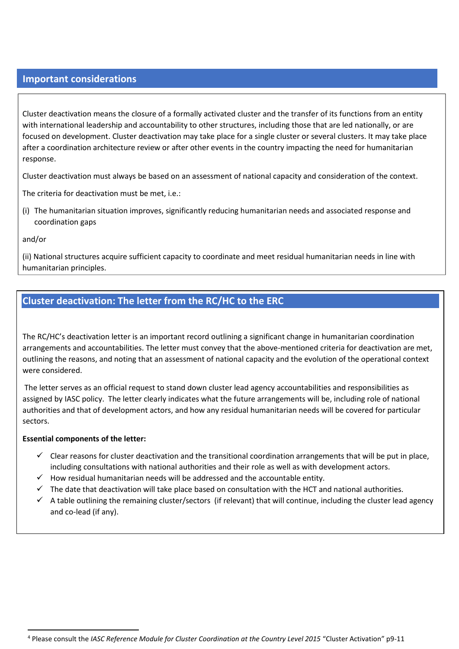### **Important considerations**

Cluster deactivation means the closure of a formally activated cluster and the transfer of its functions from an entity with international leadership and accountability to other structures, including those that are led nationally, or are focused on development. Cluster deactivation may take place for a single cluster or several clusters. It may take place after a coordination architecture review or after other events in the country impacting the need for humanitarian response.

Cluster deactivation must always be based on an assessment of national capacity and consideration of the context.

The criteria for deactivation must be met, i.e.:

(i) The humanitarian situation improves, significantly reducing humanitarian needs and associated response and coordination gaps

and/or

(ii) National structures acquire sufficient capacity to coordinate and meet residual humanitarian needs in line with humanitarian principles.

### **Cluster deactivation: The letter from the RC/HC to the ERC**

**2. Cluster deactivation<sup>4</sup>** The RC/HC's deactivation letter is an important record outlining a significant change in humanitarian coordination arrangements and accountabilities. The letter must convey that the above-mentioned criteria for deactivation are met, outlining the reasons, and noting that an assessment of national capacity and the evolution of the operational context were considered.

The letter serves as an official request to stand down cluster lead agency accountabilities and responsibilities as assigned by IASC policy. The letter clearly indicates what the future arrangements will be, including role of national authorities and that of development actors, and how any residual humanitarian needs will be covered for particular sectors.

### **Essential components of the letter:**

- $\checkmark$  Clear reasons for cluster deactivation and the transitional coordination arrangements that will be put in place, including consultations with national authorities and their role as well as with development actors.
- $\checkmark$  How residual humanitarian needs will be addressed and the accountable entity.
- $\checkmark$  The date that deactivation will take place based on consultation with the HCT and national authorities.
- $\checkmark$  A table outlining the remaining cluster/sectors (if relevant) that will continue, including the cluster lead agency and co-lead (if any).

<sup>4</sup> Please consult the *IASC Reference Module for Cluster Coordination at the Country Level 2015* "Cluster Activation" p9-11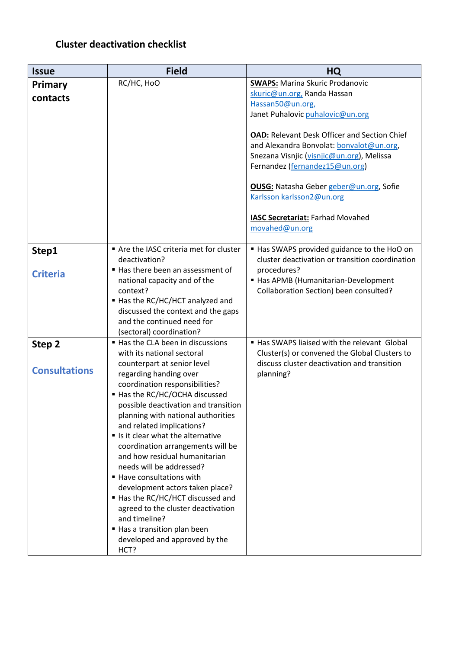# **Cluster deactivation checklist**

| <b>Issue</b>                   | <b>Field</b>                                                                                                                                                                                                                                                                                                                                                                                                                                                                                                                                                                                                                                                                     | <b>HQ</b>                                                                                                                                                                                                                                                                                                                                                                                                                                            |
|--------------------------------|----------------------------------------------------------------------------------------------------------------------------------------------------------------------------------------------------------------------------------------------------------------------------------------------------------------------------------------------------------------------------------------------------------------------------------------------------------------------------------------------------------------------------------------------------------------------------------------------------------------------------------------------------------------------------------|------------------------------------------------------------------------------------------------------------------------------------------------------------------------------------------------------------------------------------------------------------------------------------------------------------------------------------------------------------------------------------------------------------------------------------------------------|
| Primary<br>contacts            | RC/HC, HoO                                                                                                                                                                                                                                                                                                                                                                                                                                                                                                                                                                                                                                                                       | <b>SWAPS: Marina Skuric Prodanovic</b><br>skuric@un.org, Randa Hassan<br>Hassan50@un.org,<br>Janet Puhalovic puhalovic@un.org<br><b>OAD: Relevant Desk Officer and Section Chief</b><br>and Alexandra Bonvolat: bonvalot@un.org,<br>Snezana Visnjic (visnjic@un.org), Melissa<br>Fernandez (fernandez15@un.org)<br>OUSG: Natasha Geber geber@un.org, Sofie<br>Karlsson karlsson2@un.org<br><b>IASC Secretariat: Farhad Movahed</b><br>movahed@un.org |
| Step1<br><b>Criteria</b>       | Are the IASC criteria met for cluster<br>deactivation?<br>Has there been an assessment of<br>national capacity and of the<br>context?<br>Has the RC/HC/HCT analyzed and<br>discussed the context and the gaps<br>and the continued need for<br>(sectoral) coordination?                                                                                                                                                                                                                                                                                                                                                                                                          | Has SWAPS provided guidance to the HoO on<br>cluster deactivation or transition coordination<br>procedures?<br>Has APMB (Humanitarian-Development<br>Collaboration Section) been consulted?                                                                                                                                                                                                                                                          |
| Step 2<br><b>Consultations</b> | ■ Has the CLA been in discussions<br>with its national sectoral<br>counterpart at senior level<br>regarding handing over<br>coordination responsibilities?<br>■ Has the RC/HC/OCHA discussed<br>possible deactivation and transition<br>planning with national authorities<br>and related implications?<br>Is it clear what the alternative<br>coordination arrangements will be<br>and how residual humanitarian<br>needs will be addressed?<br>■ Have consultations with<br>development actors taken place?<br>■ Has the RC/HC/HCT discussed and<br>agreed to the cluster deactivation<br>and timeline?<br>Has a transition plan been<br>developed and approved by the<br>HCT? | Has SWAPS liaised with the relevant Global<br>Cluster(s) or convened the Global Clusters to<br>discuss cluster deactivation and transition<br>planning?                                                                                                                                                                                                                                                                                              |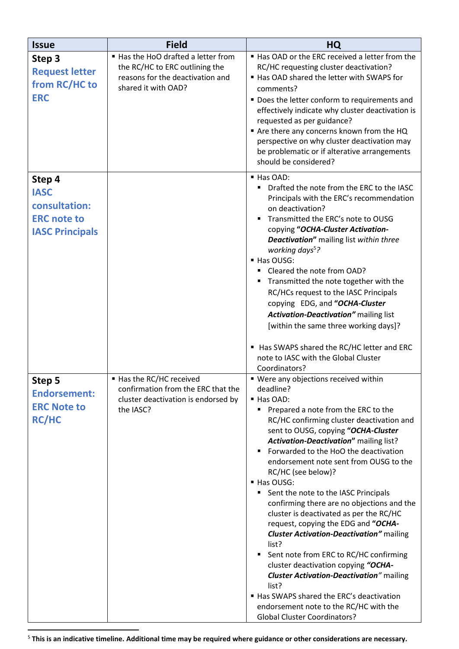| ■ Has the HoO drafted a letter from<br>the RC/HC to ERC outlining the<br>reasons for the deactivation and<br>shared it with OAD? | Has OAD or the ERC received a letter from the<br>RC/HC requesting cluster deactivation?<br>■ Has OAD shared the letter with SWAPS for<br>comments?<br>" Does the letter conform to requirements and<br>effectively indicate why cluster deactivation is<br>requested as per guidance?<br>Are there any concerns known from the HQ<br>perspective on why cluster deactivation may<br>be problematic or if alterative arrangements<br>should be considered?                                                                                                                                                                                                                                                                                            |
|----------------------------------------------------------------------------------------------------------------------------------|------------------------------------------------------------------------------------------------------------------------------------------------------------------------------------------------------------------------------------------------------------------------------------------------------------------------------------------------------------------------------------------------------------------------------------------------------------------------------------------------------------------------------------------------------------------------------------------------------------------------------------------------------------------------------------------------------------------------------------------------------|
|                                                                                                                                  |                                                                                                                                                                                                                                                                                                                                                                                                                                                                                                                                                                                                                                                                                                                                                      |
|                                                                                                                                  | Has OAD:<br>Drafted the note from the ERC to the IASC<br>Principals with the ERC's recommendation<br>on deactivation?<br>Transmitted the ERC's note to OUSG<br>copying "OCHA-Cluster Activation-<br><b>Deactivation"</b> mailing list within three<br>working days <sup>5</sup> ?<br>Has OUSG:<br>Cleared the note from OAD?<br>Transmitted the note together with the<br>RC/HCs request to the IASC Principals<br>copying EDG, and "OCHA-Cluster<br>Activation-Deactivation" mailing list<br>[within the same three working days]?                                                                                                                                                                                                                  |
|                                                                                                                                  | Has SWAPS shared the RC/HC letter and ERC<br>note to IASC with the Global Cluster<br>Coordinators?                                                                                                                                                                                                                                                                                                                                                                                                                                                                                                                                                                                                                                                   |
| ■ Has the RC/HC received<br>confirmation from the ERC that the<br>cluster deactivation is endorsed by<br>the IASC?               | ■ Were any objections received within<br>deadline?<br>Has OAD:<br>Prepared a note from the ERC to the<br>٠<br>RC/HC confirming cluster deactivation and<br>sent to OUSG, copying "OCHA-Cluster<br>Activation-Deactivation" mailing list?<br>Forwarded to the HoO the deactivation<br>endorsement note sent from OUSG to the<br>RC/HC (see below)?<br>Has OUSG:<br>Sent the note to the IASC Principals<br>٠<br>confirming there are no objections and the<br>cluster is deactivated as per the RC/HC<br>request, copying the EDG and "OCHA-<br><b>Cluster Activation-Deactivation"</b> mailing<br>list?<br>Sent note from ERC to RC/HC confirming<br>cluster deactivation copying "OCHA-<br><b>Cluster Activation-Deactivation"</b> mailing<br>list? |
|                                                                                                                                  |                                                                                                                                                                                                                                                                                                                                                                                                                                                                                                                                                                                                                                                                                                                                                      |